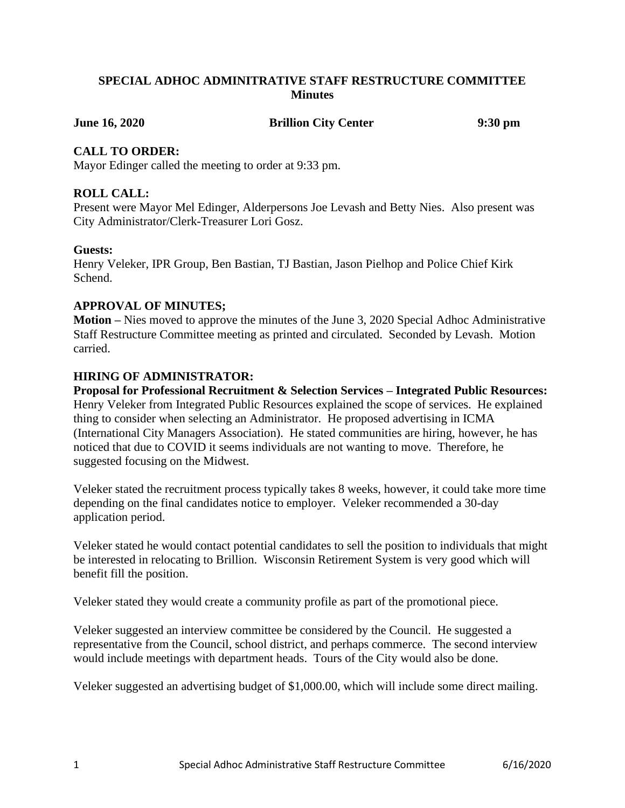## **SPECIAL ADHOC ADMINITRATIVE STAFF RESTRUCTURE COMMITTEE Minutes**

**June 16, 2020 Brillion City Center 9:30 pm**

## **CALL TO ORDER:**

Mayor Edinger called the meeting to order at 9:33 pm.

# **ROLL CALL:**

Present were Mayor Mel Edinger, Alderpersons Joe Levash and Betty Nies. Also present was City Administrator/Clerk-Treasurer Lori Gosz.

## **Guests:**

Henry Veleker, IPR Group, Ben Bastian, TJ Bastian, Jason Pielhop and Police Chief Kirk Schend.

## **APPROVAL OF MINUTES;**

**Motion –** Nies moved to approve the minutes of the June 3, 2020 Special Adhoc Administrative Staff Restructure Committee meeting as printed and circulated. Seconded by Levash. Motion carried.

## **HIRING OF ADMINISTRATOR:**

**Proposal for Professional Recruitment & Selection Services – Integrated Public Resources:** Henry Veleker from Integrated Public Resources explained the scope of services. He explained thing to consider when selecting an Administrator. He proposed advertising in ICMA (International City Managers Association). He stated communities are hiring, however, he has noticed that due to COVID it seems individuals are not wanting to move. Therefore, he suggested focusing on the Midwest.

Veleker stated the recruitment process typically takes 8 weeks, however, it could take more time depending on the final candidates notice to employer. Veleker recommended a 30-day application period.

Veleker stated he would contact potential candidates to sell the position to individuals that might be interested in relocating to Brillion. Wisconsin Retirement System is very good which will benefit fill the position.

Veleker stated they would create a community profile as part of the promotional piece.

Veleker suggested an interview committee be considered by the Council. He suggested a representative from the Council, school district, and perhaps commerce. The second interview would include meetings with department heads. Tours of the City would also be done.

Veleker suggested an advertising budget of \$1,000.00, which will include some direct mailing.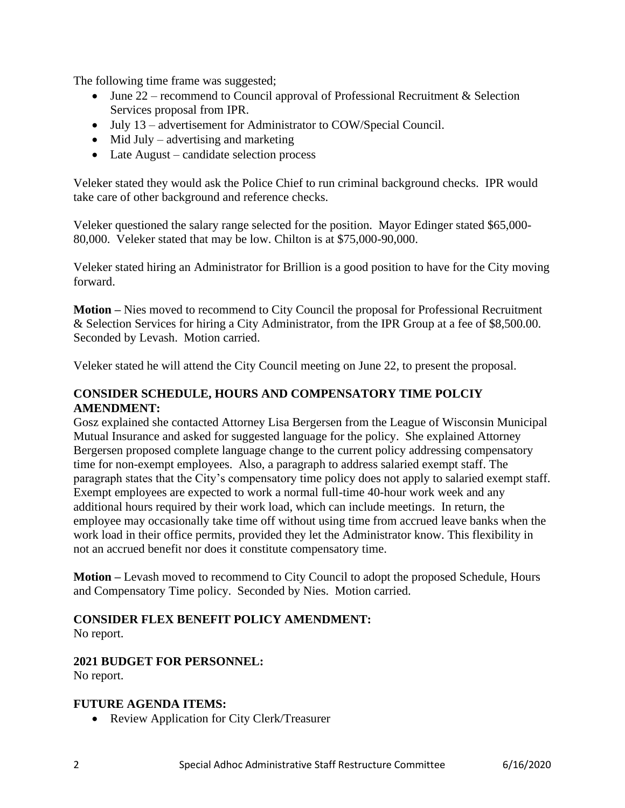The following time frame was suggested;

- June  $22$  recommend to Council approval of Professional Recruitment & Selection Services proposal from IPR.
- July 13 advertisement for Administrator to COW/Special Council.
- Mid July advertising and marketing
- Late August candidate selection process

Veleker stated they would ask the Police Chief to run criminal background checks. IPR would take care of other background and reference checks.

Veleker questioned the salary range selected for the position. Mayor Edinger stated \$65,000- 80,000. Veleker stated that may be low. Chilton is at \$75,000-90,000.

Veleker stated hiring an Administrator for Brillion is a good position to have for the City moving forward.

**Motion –** Nies moved to recommend to City Council the proposal for Professional Recruitment & Selection Services for hiring a City Administrator, from the IPR Group at a fee of \$8,500.00. Seconded by Levash. Motion carried.

Veleker stated he will attend the City Council meeting on June 22, to present the proposal.

# **CONSIDER SCHEDULE, HOURS AND COMPENSATORY TIME POLCIY AMENDMENT:**

Gosz explained she contacted Attorney Lisa Bergersen from the League of Wisconsin Municipal Mutual Insurance and asked for suggested language for the policy. She explained Attorney Bergersen proposed complete language change to the current policy addressing compensatory time for non-exempt employees. Also, a paragraph to address salaried exempt staff. The paragraph states that the City's compensatory time policy does not apply to salaried exempt staff. Exempt employees are expected to work a normal full-time 40-hour work week and any additional hours required by their work load, which can include meetings. In return, the employee may occasionally take time off without using time from accrued leave banks when the work load in their office permits, provided they let the Administrator know. This flexibility in not an accrued benefit nor does it constitute compensatory time.

**Motion –** Levash moved to recommend to City Council to adopt the proposed Schedule, Hours and Compensatory Time policy. Seconded by Nies. Motion carried.

# **CONSIDER FLEX BENEFIT POLICY AMENDMENT:**

No report.

# **2021 BUDGET FOR PERSONNEL:**

No report.

## **FUTURE AGENDA ITEMS:**

• Review Application for City Clerk/Treasurer